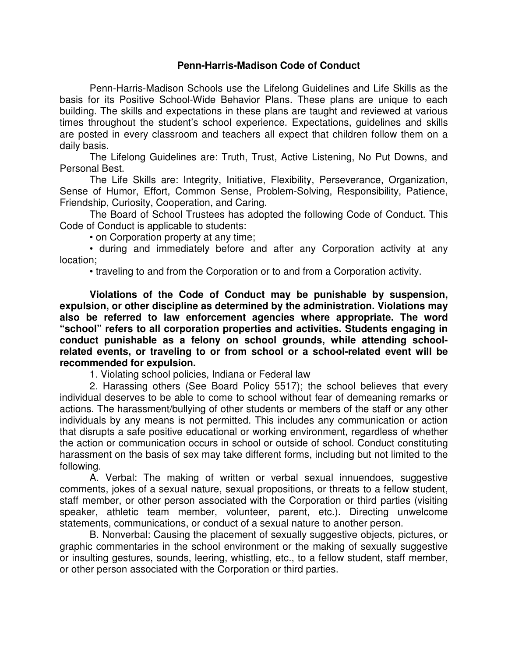# **Penn-Harris-Madison Code of Conduct**

Penn-Harris-Madison Schools use the Lifelong Guidelines and Life Skills as the basis for its Positive School-Wide Behavior Plans. These plans are unique to each building. The skills and expectations in these plans are taught and reviewed at various times throughout the student's school experience. Expectations, guidelines and skills are posted in every classroom and teachers all expect that children follow them on a daily basis.

The Lifelong Guidelines are: Truth, Trust, Active Listening, No Put Downs, and Personal Best.

The Life Skills are: Integrity, Initiative, Flexibility, Perseverance, Organization, Sense of Humor, Effort, Common Sense, Problem-Solving, Responsibility, Patience, Friendship, Curiosity, Cooperation, and Caring.

The Board of School Trustees has adopted the following Code of Conduct. This Code of Conduct is applicable to students:

• on Corporation property at any time;

• during and immediately before and after any Corporation activity at any location;

• traveling to and from the Corporation or to and from a Corporation activity.

**Violations of the Code of Conduct may be punishable by suspension, expulsion, or other discipline as determined by the administration. Violations may also be referred to law enforcement agencies where appropriate. The word "school" refers to all corporation properties and activities. Students engaging in conduct punishable as a felony on school grounds, while attending schoolrelated events, or traveling to or from school or a school-related event will be recommended for expulsion.** 

1. Violating school policies, Indiana or Federal law

2. Harassing others (See Board Policy 5517); the school believes that every individual deserves to be able to come to school without fear of demeaning remarks or actions. The harassment/bullying of other students or members of the staff or any other individuals by any means is not permitted. This includes any communication or action that disrupts a safe positive educational or working environment, regardless of whether the action or communication occurs in school or outside of school. Conduct constituting harassment on the basis of sex may take different forms, including but not limited to the following.

A. Verbal: The making of written or verbal sexual innuendoes, suggestive comments, jokes of a sexual nature, sexual propositions, or threats to a fellow student, staff member, or other person associated with the Corporation or third parties (visiting speaker, athletic team member, volunteer, parent, etc.). Directing unwelcome statements, communications, or conduct of a sexual nature to another person.

B. Nonverbal: Causing the placement of sexually suggestive objects, pictures, or graphic commentaries in the school environment or the making of sexually suggestive or insulting gestures, sounds, leering, whistling, etc., to a fellow student, staff member, or other person associated with the Corporation or third parties.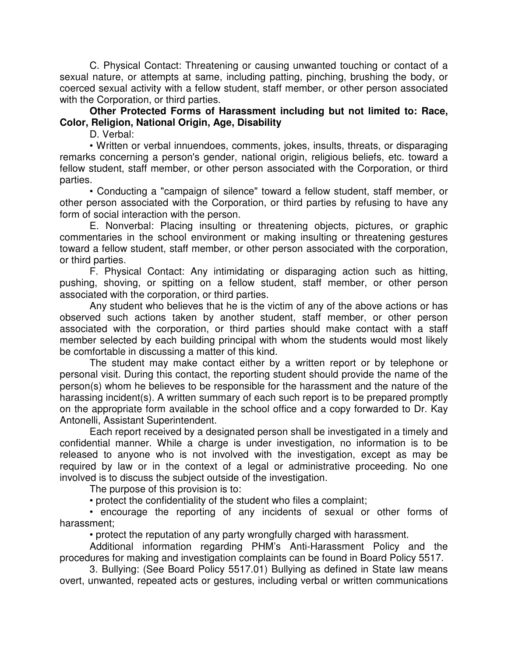C. Physical Contact: Threatening or causing unwanted touching or contact of a sexual nature, or attempts at same, including patting, pinching, brushing the body, or coerced sexual activity with a fellow student, staff member, or other person associated with the Corporation, or third parties.

**Other Protected Forms of Harassment including but not limited to: Race, Color, Religion, National Origin, Age, Disability** 

D. Verbal:

• Written or verbal innuendoes, comments, jokes, insults, threats, or disparaging remarks concerning a person's gender, national origin, religious beliefs, etc. toward a fellow student, staff member, or other person associated with the Corporation, or third parties.

• Conducting a "campaign of silence" toward a fellow student, staff member, or other person associated with the Corporation, or third parties by refusing to have any form of social interaction with the person.

E. Nonverbal: Placing insulting or threatening objects, pictures, or graphic commentaries in the school environment or making insulting or threatening gestures toward a fellow student, staff member, or other person associated with the corporation, or third parties.

F. Physical Contact: Any intimidating or disparaging action such as hitting, pushing, shoving, or spitting on a fellow student, staff member, or other person associated with the corporation, or third parties.

Any student who believes that he is the victim of any of the above actions or has observed such actions taken by another student, staff member, or other person associated with the corporation, or third parties should make contact with a staff member selected by each building principal with whom the students would most likely be comfortable in discussing a matter of this kind.

The student may make contact either by a written report or by telephone or personal visit. During this contact, the reporting student should provide the name of the person(s) whom he believes to be responsible for the harassment and the nature of the harassing incident(s). A written summary of each such report is to be prepared promptly on the appropriate form available in the school office and a copy forwarded to Dr. Kay Antonelli, Assistant Superintendent.

Each report received by a designated person shall be investigated in a timely and confidential manner. While a charge is under investigation, no information is to be released to anyone who is not involved with the investigation, except as may be required by law or in the context of a legal or administrative proceeding. No one involved is to discuss the subject outside of the investigation.

The purpose of this provision is to:

• protect the confidentiality of the student who files a complaint;

• encourage the reporting of any incidents of sexual or other forms of harassment;

• protect the reputation of any party wrongfully charged with harassment.

Additional information regarding PHM's Anti-Harassment Policy and the procedures for making and investigation complaints can be found in Board Policy 5517.

3. Bullying: (See Board Policy 5517.01) Bullying as defined in State law means overt, unwanted, repeated acts or gestures, including verbal or written communications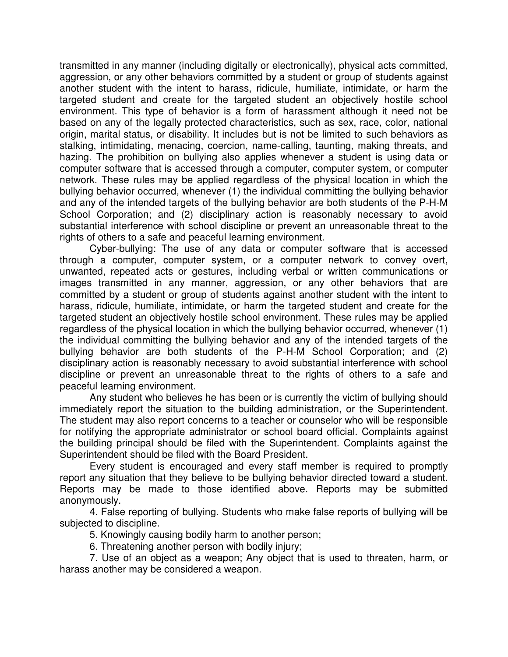transmitted in any manner (including digitally or electronically), physical acts committed, aggression, or any other behaviors committed by a student or group of students against another student with the intent to harass, ridicule, humiliate, intimidate, or harm the targeted student and create for the targeted student an objectively hostile school environment. This type of behavior is a form of harassment although it need not be based on any of the legally protected characteristics, such as sex, race, color, national origin, marital status, or disability. It includes but is not be limited to such behaviors as stalking, intimidating, menacing, coercion, name-calling, taunting, making threats, and hazing. The prohibition on bullying also applies whenever a student is using data or computer software that is accessed through a computer, computer system, or computer network. These rules may be applied regardless of the physical location in which the bullying behavior occurred, whenever (1) the individual committing the bullying behavior and any of the intended targets of the bullying behavior are both students of the P-H-M School Corporation; and (2) disciplinary action is reasonably necessary to avoid substantial interference with school discipline or prevent an unreasonable threat to the rights of others to a safe and peaceful learning environment.

Cyber-bullying: The use of any data or computer software that is accessed through a computer, computer system, or a computer network to convey overt, unwanted, repeated acts or gestures, including verbal or written communications or images transmitted in any manner, aggression, or any other behaviors that are committed by a student or group of students against another student with the intent to harass, ridicule, humiliate, intimidate, or harm the targeted student and create for the targeted student an objectively hostile school environment. These rules may be applied regardless of the physical location in which the bullying behavior occurred, whenever (1) the individual committing the bullying behavior and any of the intended targets of the bullying behavior are both students of the P-H-M School Corporation; and (2) disciplinary action is reasonably necessary to avoid substantial interference with school discipline or prevent an unreasonable threat to the rights of others to a safe and peaceful learning environment.

Any student who believes he has been or is currently the victim of bullying should immediately report the situation to the building administration, or the Superintendent. The student may also report concerns to a teacher or counselor who will be responsible for notifying the appropriate administrator or school board official. Complaints against the building principal should be filed with the Superintendent. Complaints against the Superintendent should be filed with the Board President.

Every student is encouraged and every staff member is required to promptly report any situation that they believe to be bullying behavior directed toward a student. Reports may be made to those identified above. Reports may be submitted anonymously.

4. False reporting of bullying. Students who make false reports of bullying will be subjected to discipline.

5. Knowingly causing bodily harm to another person;

6. Threatening another person with bodily injury;

7. Use of an object as a weapon; Any object that is used to threaten, harm, or harass another may be considered a weapon.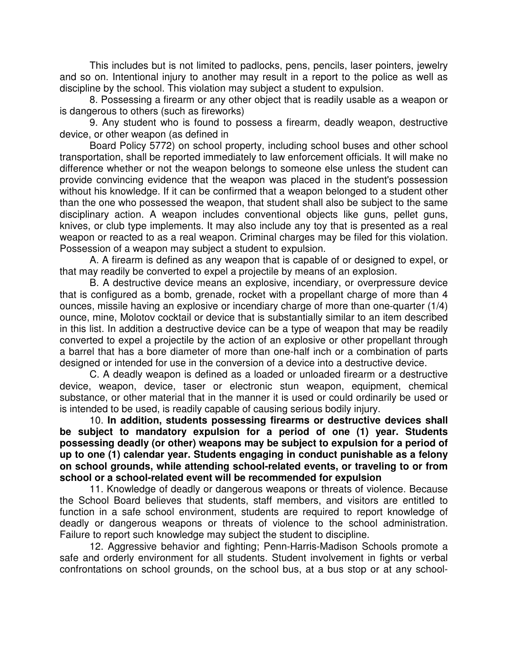This includes but is not limited to padlocks, pens, pencils, laser pointers, jewelry and so on. Intentional injury to another may result in a report to the police as well as discipline by the school. This violation may subject a student to expulsion.

8. Possessing a firearm or any other object that is readily usable as a weapon or is dangerous to others (such as fireworks)

9. Any student who is found to possess a firearm, deadly weapon, destructive device, or other weapon (as defined in

Board Policy 5772) on school property, including school buses and other school transportation, shall be reported immediately to law enforcement officials. It will make no difference whether or not the weapon belongs to someone else unless the student can provide convincing evidence that the weapon was placed in the student's possession without his knowledge. If it can be confirmed that a weapon belonged to a student other than the one who possessed the weapon, that student shall also be subject to the same disciplinary action. A weapon includes conventional objects like guns, pellet guns, knives, or club type implements. It may also include any toy that is presented as a real weapon or reacted to as a real weapon. Criminal charges may be filed for this violation. Possession of a weapon may subject a student to expulsion.

A. A firearm is defined as any weapon that is capable of or designed to expel, or that may readily be converted to expel a projectile by means of an explosion.

B. A destructive device means an explosive, incendiary, or overpressure device that is configured as a bomb, grenade, rocket with a propellant charge of more than 4 ounces, missile having an explosive or incendiary charge of more than one-quarter (1/4) ounce, mine, Molotov cocktail or device that is substantially similar to an item described in this list. In addition a destructive device can be a type of weapon that may be readily converted to expel a projectile by the action of an explosive or other propellant through a barrel that has a bore diameter of more than one-half inch or a combination of parts designed or intended for use in the conversion of a device into a destructive device.

C. A deadly weapon is defined as a loaded or unloaded firearm or a destructive device, weapon, device, taser or electronic stun weapon, equipment, chemical substance, or other material that in the manner it is used or could ordinarily be used or is intended to be used, is readily capable of causing serious bodily injury.

10. **In addition, students possessing firearms or destructive devices shall be subject to mandatory expulsion for a period of one (1) year. Students possessing deadly (or other) weapons may be subject to expulsion for a period of up to one (1) calendar year. Students engaging in conduct punishable as a felony on school grounds, while attending school-related events, or traveling to or from school or a school-related event will be recommended for expulsion** 

11. Knowledge of deadly or dangerous weapons or threats of violence. Because the School Board believes that students, staff members, and visitors are entitled to function in a safe school environment, students are required to report knowledge of deadly or dangerous weapons or threats of violence to the school administration. Failure to report such knowledge may subject the student to discipline.

12. Aggressive behavior and fighting; Penn-Harris-Madison Schools promote a safe and orderly environment for all students. Student involvement in fights or verbal confrontations on school grounds, on the school bus, at a bus stop or at any school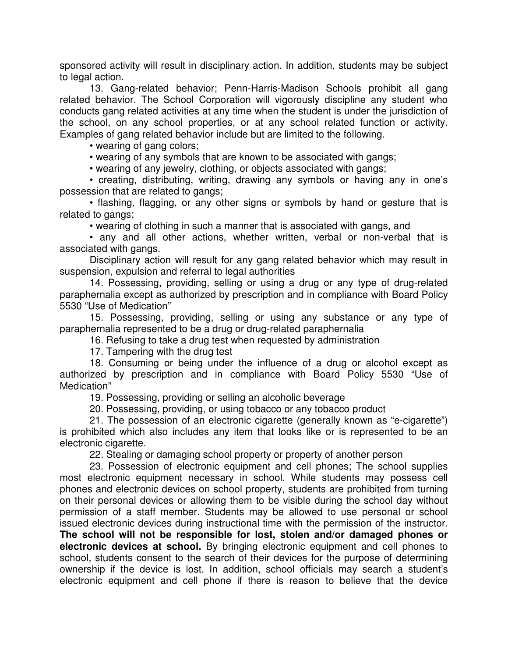sponsored activity will result in disciplinary action. In addition, students may be subject to legal action.

13. Gang-related behavior; Penn-Harris-Madison Schools prohibit all gang related behavior. The School Corporation will vigorously discipline any student who conducts gang related activities at any time when the student is under the jurisdiction of the school, on any school properties, or at any school related function or activity. Examples of gang related behavior include but are limited to the following.

• wearing of gang colors;

• wearing of any symbols that are known to be associated with gangs;

• wearing of any jewelry, clothing, or objects associated with gangs;

• creating, distributing, writing, drawing any symbols or having any in one's possession that are related to gangs;

• flashing, flagging, or any other signs or symbols by hand or gesture that is related to gangs;

• wearing of clothing in such a manner that is associated with gangs, and

• any and all other actions, whether written, verbal or non-verbal that is associated with gangs.

Disciplinary action will result for any gang related behavior which may result in suspension, expulsion and referral to legal authorities

14. Possessing, providing, selling or using a drug or any type of drug-related paraphernalia except as authorized by prescription and in compliance with Board Policy 5530 "Use of Medication"

15. Possessing, providing, selling or using any substance or any type of paraphernalia represented to be a drug or drug-related paraphernalia

16. Refusing to take a drug test when requested by administration

17. Tampering with the drug test

18. Consuming or being under the influence of a drug or alcohol except as authorized by prescription and in compliance with Board Policy 5530 "Use of Medication"

19. Possessing, providing or selling an alcoholic beverage

20. Possessing, providing, or using tobacco or any tobacco product

21. The possession of an electronic cigarette (generally known as "e-cigarette") is prohibited which also includes any item that looks like or is represented to be an electronic cigarette.

22. Stealing or damaging school property or property of another person

23. Possession of electronic equipment and cell phones; The school supplies most electronic equipment necessary in school. While students may possess cell phones and electronic devices on school property, students are prohibited from turning on their personal devices or allowing them to be visible during the school day without permission of a staff member. Students may be allowed to use personal or school issued electronic devices during instructional time with the permission of the instructor. **The school will not be responsible for lost, stolen and/or damaged phones or electronic devices at school.** By bringing electronic equipment and cell phones to school, students consent to the search of their devices for the purpose of determining ownership if the device is lost. In addition, school officials may search a student's electronic equipment and cell phone if there is reason to believe that the device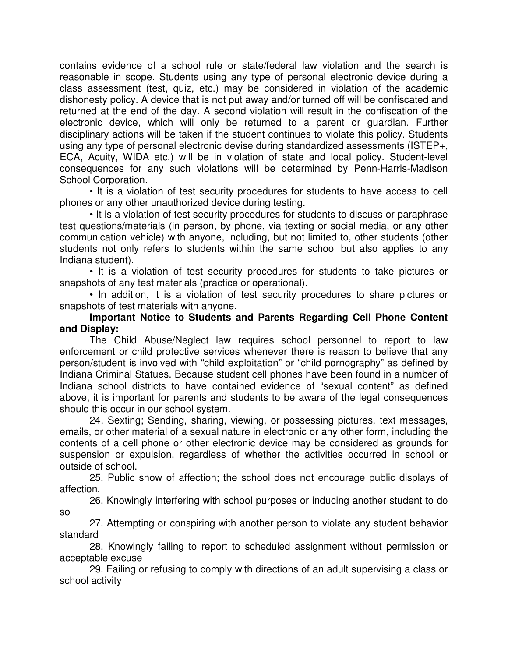contains evidence of a school rule or state/federal law violation and the search is reasonable in scope. Students using any type of personal electronic device during a class assessment (test, quiz, etc.) may be considered in violation of the academic dishonesty policy. A device that is not put away and/or turned off will be confiscated and returned at the end of the day. A second violation will result in the confiscation of the electronic device, which will only be returned to a parent or guardian. Further disciplinary actions will be taken if the student continues to violate this policy. Students using any type of personal electronic devise during standardized assessments (ISTEP+, ECA, Acuity, WIDA etc.) will be in violation of state and local policy. Student-level consequences for any such violations will be determined by Penn-Harris-Madison School Corporation.

• It is a violation of test security procedures for students to have access to cell phones or any other unauthorized device during testing.

• It is a violation of test security procedures for students to discuss or paraphrase test questions/materials (in person, by phone, via texting or social media, or any other communication vehicle) with anyone, including, but not limited to, other students (other students not only refers to students within the same school but also applies to any Indiana student).

• It is a violation of test security procedures for students to take pictures or snapshots of any test materials (practice or operational).

• In addition, it is a violation of test security procedures to share pictures or snapshots of test materials with anyone.

# **Important Notice to Students and Parents Regarding Cell Phone Content and Display:**

The Child Abuse/Neglect law requires school personnel to report to law enforcement or child protective services whenever there is reason to believe that any person/student is involved with "child exploitation" or "child pornography" as defined by Indiana Criminal Statues. Because student cell phones have been found in a number of Indiana school districts to have contained evidence of "sexual content" as defined above, it is important for parents and students to be aware of the legal consequences should this occur in our school system.

24. Sexting; Sending, sharing, viewing, or possessing pictures, text messages, emails, or other material of a sexual nature in electronic or any other form, including the contents of a cell phone or other electronic device may be considered as grounds for suspension or expulsion, regardless of whether the activities occurred in school or outside of school.

25. Public show of affection; the school does not encourage public displays of affection.

26. Knowingly interfering with school purposes or inducing another student to do so

27. Attempting or conspiring with another person to violate any student behavior standard

28. Knowingly failing to report to scheduled assignment without permission or acceptable excuse

29. Failing or refusing to comply with directions of an adult supervising a class or school activity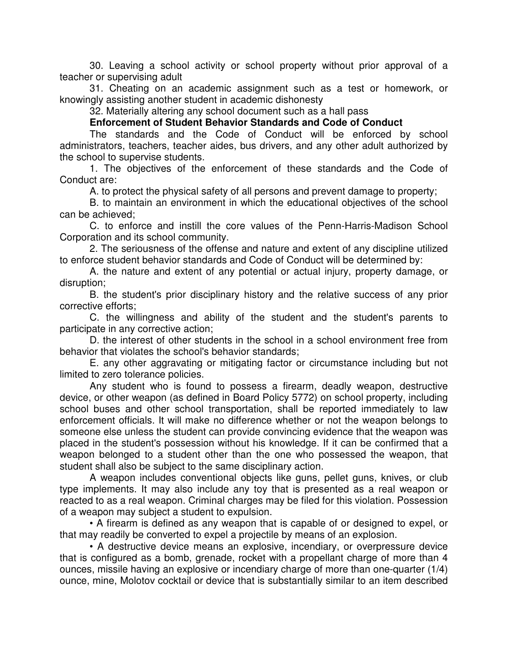30. Leaving a school activity or school property without prior approval of a teacher or supervising adult

31. Cheating on an academic assignment such as a test or homework, or knowingly assisting another student in academic dishonesty

32. Materially altering any school document such as a hall pass

# **Enforcement of Student Behavior Standards and Code of Conduct**

The standards and the Code of Conduct will be enforced by school administrators, teachers, teacher aides, bus drivers, and any other adult authorized by the school to supervise students.

1. The objectives of the enforcement of these standards and the Code of Conduct are:

A. to protect the physical safety of all persons and prevent damage to property;

B. to maintain an environment in which the educational objectives of the school can be achieved;

C. to enforce and instill the core values of the Penn-Harris-Madison School Corporation and its school community.

2. The seriousness of the offense and nature and extent of any discipline utilized to enforce student behavior standards and Code of Conduct will be determined by:

A. the nature and extent of any potential or actual injury, property damage, or disruption;

B. the student's prior disciplinary history and the relative success of any prior corrective efforts;

C. the willingness and ability of the student and the student's parents to participate in any corrective action;

D. the interest of other students in the school in a school environment free from behavior that violates the school's behavior standards;

E. any other aggravating or mitigating factor or circumstance including but not limited to zero tolerance policies.

Any student who is found to possess a firearm, deadly weapon, destructive device, or other weapon (as defined in Board Policy 5772) on school property, including school buses and other school transportation, shall be reported immediately to law enforcement officials. It will make no difference whether or not the weapon belongs to someone else unless the student can provide convincing evidence that the weapon was placed in the student's possession without his knowledge. If it can be confirmed that a weapon belonged to a student other than the one who possessed the weapon, that student shall also be subject to the same disciplinary action.

A weapon includes conventional objects like guns, pellet guns, knives, or club type implements. It may also include any toy that is presented as a real weapon or reacted to as a real weapon. Criminal charges may be filed for this violation. Possession of a weapon may subject a student to expulsion.

• A firearm is defined as any weapon that is capable of or designed to expel, or that may readily be converted to expel a projectile by means of an explosion.

• A destructive device means an explosive, incendiary, or overpressure device that is configured as a bomb, grenade, rocket with a propellant charge of more than 4 ounces, missile having an explosive or incendiary charge of more than one-quarter (1/4) ounce, mine, Molotov cocktail or device that is substantially similar to an item described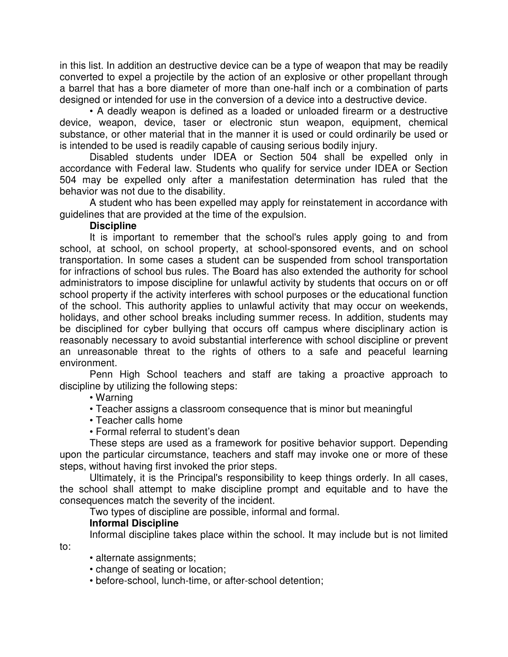in this list. In addition an destructive device can be a type of weapon that may be readily converted to expel a projectile by the action of an explosive or other propellant through a barrel that has a bore diameter of more than one-half inch or a combination of parts designed or intended for use in the conversion of a device into a destructive device.

• A deadly weapon is defined as a loaded or unloaded firearm or a destructive device, weapon, device, taser or electronic stun weapon, equipment, chemical substance, or other material that in the manner it is used or could ordinarily be used or is intended to be used is readily capable of causing serious bodily injury.

Disabled students under IDEA or Section 504 shall be expelled only in accordance with Federal law. Students who qualify for service under IDEA or Section 504 may be expelled only after a manifestation determination has ruled that the behavior was not due to the disability.

A student who has been expelled may apply for reinstatement in accordance with guidelines that are provided at the time of the expulsion.

#### **Discipline**

It is important to remember that the school's rules apply going to and from school, at school, on school property, at school-sponsored events, and on school transportation. In some cases a student can be suspended from school transportation for infractions of school bus rules. The Board has also extended the authority for school administrators to impose discipline for unlawful activity by students that occurs on or off school property if the activity interferes with school purposes or the educational function of the school. This authority applies to unlawful activity that may occur on weekends, holidays, and other school breaks including summer recess. In addition, students may be disciplined for cyber bullying that occurs off campus where disciplinary action is reasonably necessary to avoid substantial interference with school discipline or prevent an unreasonable threat to the rights of others to a safe and peaceful learning environment.

Penn High School teachers and staff are taking a proactive approach to discipline by utilizing the following steps:

# • Warning

- Teacher assigns a classroom consequence that is minor but meaningful
- Teacher calls home
- Formal referral to student's dean

These steps are used as a framework for positive behavior support. Depending upon the particular circumstance, teachers and staff may invoke one or more of these steps, without having first invoked the prior steps.

Ultimately, it is the Principal's responsibility to keep things orderly. In all cases, the school shall attempt to make discipline prompt and equitable and to have the consequences match the severity of the incident.

Two types of discipline are possible, informal and formal.

# **Informal Discipline**

Informal discipline takes place within the school. It may include but is not limited to:

• alternate assignments;

• change of seating or location;

• before-school, lunch-time, or after-school detention;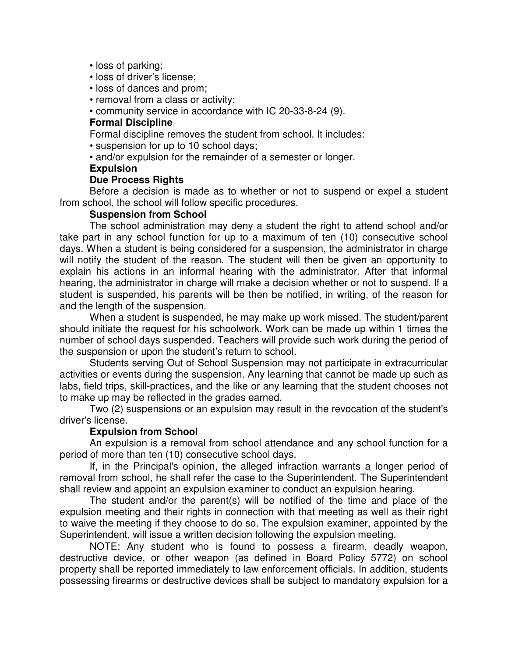- loss of parking;
- loss of driver's license;
- loss of dances and prom;
- removal from a class or activity;
- community service in accordance with IC 20-33-8-24 (9).

### **Formal Discipline**

Formal discipline removes the student from school. It includes:

- suspension for up to 10 school days;
- and/or expulsion for the remainder of a semester or longer.

#### **Expulsion**

### **Due Process Rights**

Before a decision is made as to whether or not to suspend or expel a student from school, the school will follow specific procedures.

### **Suspension from School**

The school administration may deny a student the right to attend school and/or take part in any school function for up to a maximum of ten (10) consecutive school days. When a student is being considered for a suspension, the administrator in charge will notify the student of the reason. The student will then be given an opportunity to explain his actions in an informal hearing with the administrator. After that informal hearing, the administrator in charge will make a decision whether or not to suspend. If a student is suspended, his parents will be then be notified, in writing, of the reason for and the length of the suspension.

When a student is suspended, he may make up work missed. The student/parent should initiate the request for his schoolwork. Work can be made up within 1 times the number of school days suspended. Teachers will provide such work during the period of the suspension or upon the student's return to school.

Students serving Out of School Suspension may not participate in extracurricular activities or events during the suspension. Any learning that cannot be made up such as labs, field trips, skill-practices, and the like or any learning that the student chooses not to make up may be reflected in the grades earned.

Two (2) suspensions or an expulsion may result in the revocation of the student's driver's license.

# **Expulsion from School**

An expulsion is a removal from school attendance and any school function for a period of more than ten (10) consecutive school days.

If, in the Principal's opinion, the alleged infraction warrants a longer period of removal from school, he shall refer the case to the Superintendent. The Superintendent shall review and appoint an expulsion examiner to conduct an expulsion hearing.

The student and/or the parent(s) will be notified of the time and place of the expulsion meeting and their rights in connection with that meeting as well as their right to waive the meeting if they choose to do so. The expulsion examiner, appointed by the Superintendent, will issue a written decision following the expulsion meeting.

NOTE: Any student who is found to possess a firearm, deadly weapon, destructive device, or other weapon (as defined in Board Policy 5772) on school property shall be reported immediately to law enforcement officials. In addition, students possessing firearms or destructive devices shall be subject to mandatory expulsion for a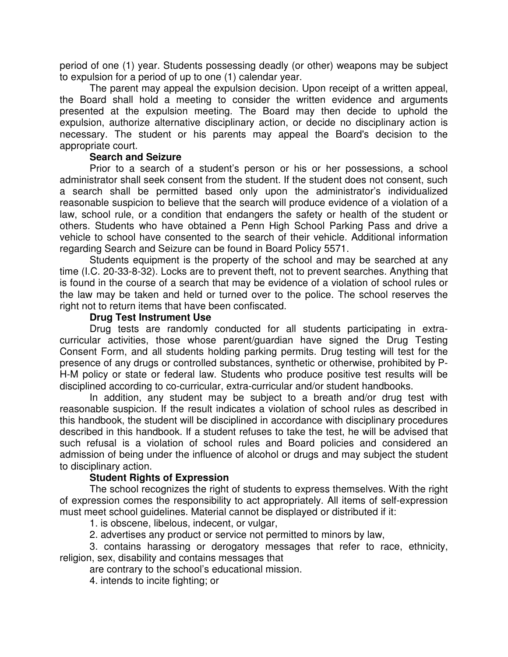period of one (1) year. Students possessing deadly (or other) weapons may be subject to expulsion for a period of up to one (1) calendar year.

The parent may appeal the expulsion decision. Upon receipt of a written appeal, the Board shall hold a meeting to consider the written evidence and arguments presented at the expulsion meeting. The Board may then decide to uphold the expulsion, authorize alternative disciplinary action, or decide no disciplinary action is necessary. The student or his parents may appeal the Board's decision to the appropriate court.

### **Search and Seizure**

Prior to a search of a student's person or his or her possessions, a school administrator shall seek consent from the student. If the student does not consent, such a search shall be permitted based only upon the administrator's individualized reasonable suspicion to believe that the search will produce evidence of a violation of a law, school rule, or a condition that endangers the safety or health of the student or others. Students who have obtained a Penn High School Parking Pass and drive a vehicle to school have consented to the search of their vehicle. Additional information regarding Search and Seizure can be found in Board Policy 5571.

Students equipment is the property of the school and may be searched at any time (I.C. 20-33-8-32). Locks are to prevent theft, not to prevent searches. Anything that is found in the course of a search that may be evidence of a violation of school rules or the law may be taken and held or turned over to the police. The school reserves the right not to return items that have been confiscated.

#### **Drug Test Instrument Use**

Drug tests are randomly conducted for all students participating in extracurricular activities, those whose parent/guardian have signed the Drug Testing Consent Form, and all students holding parking permits. Drug testing will test for the presence of any drugs or controlled substances, synthetic or otherwise, prohibited by P-H-M policy or state or federal law. Students who produce positive test results will be disciplined according to co-curricular, extra-curricular and/or student handbooks.

In addition, any student may be subject to a breath and/or drug test with reasonable suspicion. If the result indicates a violation of school rules as described in this handbook, the student will be disciplined in accordance with disciplinary procedures described in this handbook. If a student refuses to take the test, he will be advised that such refusal is a violation of school rules and Board policies and considered an admission of being under the influence of alcohol or drugs and may subject the student to disciplinary action.

# **Student Rights of Expression**

The school recognizes the right of students to express themselves. With the right of expression comes the responsibility to act appropriately. All items of self-expression must meet school guidelines. Material cannot be displayed or distributed if it:

1. is obscene, libelous, indecent, or vulgar,

2. advertises any product or service not permitted to minors by law,

3. contains harassing or derogatory messages that refer to race, ethnicity, religion, sex, disability and contains messages that

are contrary to the school's educational mission.

4. intends to incite fighting; or